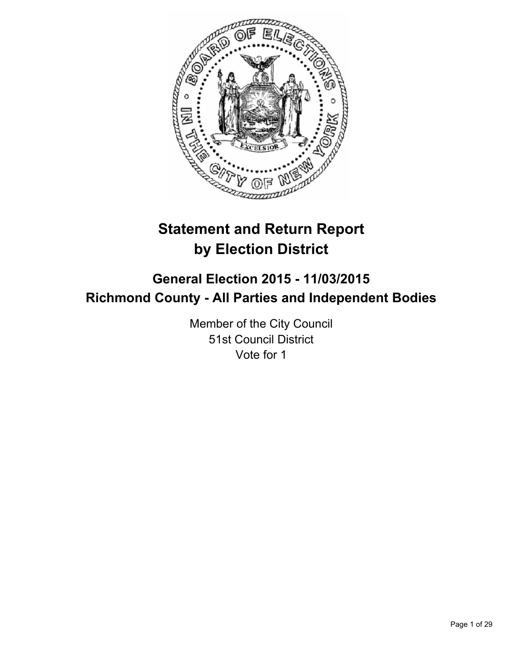

# **Statement and Return Report by Election District**

# **General Election 2015 - 11/03/2015 Richmond County - All Parties and Independent Bodies**

Member of the City Council 51st Council District Vote for 1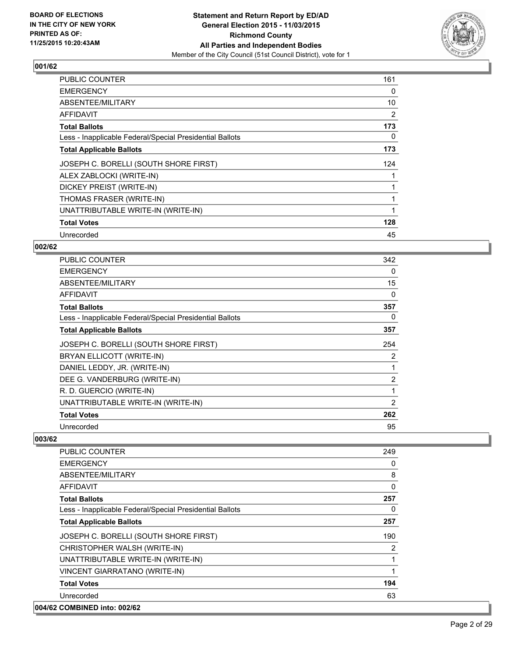

| <b>PUBLIC COUNTER</b>                                    | 161 |
|----------------------------------------------------------|-----|
| <b>EMERGENCY</b>                                         | 0   |
| ABSENTEE/MILITARY                                        | 10  |
| AFFIDAVIT                                                | 2   |
| <b>Total Ballots</b>                                     | 173 |
| Less - Inapplicable Federal/Special Presidential Ballots | 0   |
| <b>Total Applicable Ballots</b>                          | 173 |
| JOSEPH C. BORELLI (SOUTH SHORE FIRST)                    | 124 |
| ALEX ZABLOCKI (WRITE-IN)                                 |     |
| DICKEY PREIST (WRITE-IN)                                 |     |
| THOMAS FRASER (WRITE-IN)                                 |     |
| UNATTRIBUTABLE WRITE-IN (WRITE-IN)                       |     |
| <b>Total Votes</b>                                       | 128 |
| Unrecorded                                               | 45  |

## **002/62**

| <b>PUBLIC COUNTER</b>                                    | 342            |
|----------------------------------------------------------|----------------|
| <b>EMERGENCY</b>                                         | 0              |
| ABSENTEE/MILITARY                                        | 15             |
| AFFIDAVIT                                                | 0              |
| <b>Total Ballots</b>                                     | 357            |
| Less - Inapplicable Federal/Special Presidential Ballots | 0              |
| <b>Total Applicable Ballots</b>                          | 357            |
| JOSEPH C. BORELLI (SOUTH SHORE FIRST)                    | 254            |
| BRYAN ELLICOTT (WRITE-IN)                                | 2              |
| DANIEL LEDDY, JR. (WRITE-IN)                             | 1              |
| DEE G. VANDERBURG (WRITE-IN)                             | $\overline{2}$ |
| R. D. GUERCIO (WRITE-IN)                                 | 1              |
| UNATTRIBUTABLE WRITE-IN (WRITE-IN)                       | 2              |
| <b>Total Votes</b>                                       | 262            |
| Unrecorded                                               | 95             |

| PUBLIC COUNTER                                           | 249      |
|----------------------------------------------------------|----------|
| <b>EMERGENCY</b>                                         | 0        |
| ABSENTEE/MILITARY                                        | 8        |
| <b>AFFIDAVIT</b>                                         | $\Omega$ |
| <b>Total Ballots</b>                                     | 257      |
| Less - Inapplicable Federal/Special Presidential Ballots | 0        |
| <b>Total Applicable Ballots</b>                          | 257      |
| JOSEPH C. BORELLI (SOUTH SHORE FIRST)                    | 190      |
| CHRISTOPHER WALSH (WRITE-IN)                             | 2        |
| UNATTRIBUTABLE WRITE-IN (WRITE-IN)                       | 1        |
| VINCENT GIARRATANO (WRITE-IN)                            | 1        |
| <b>Total Votes</b>                                       | 194      |
| Unrecorded                                               | 63       |
| 004/62 COMBINED into: 002/62                             |          |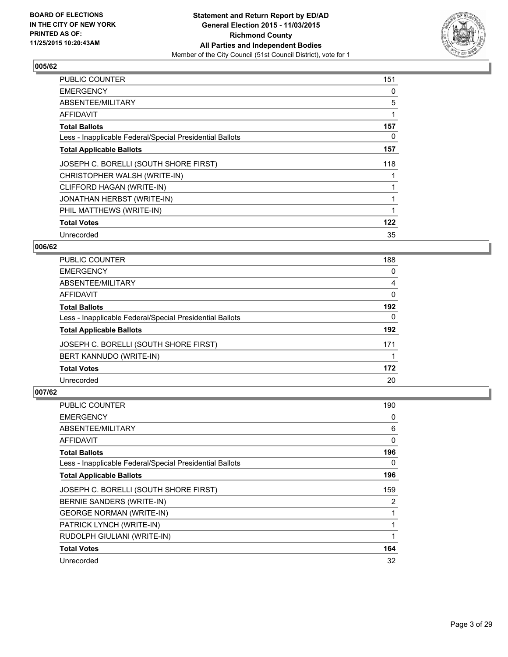

| <b>PUBLIC COUNTER</b>                                    | 151 |
|----------------------------------------------------------|-----|
| <b>EMERGENCY</b>                                         | 0   |
| ABSENTEE/MILITARY                                        | 5   |
| <b>AFFIDAVIT</b>                                         | 1   |
| <b>Total Ballots</b>                                     | 157 |
| Less - Inapplicable Federal/Special Presidential Ballots | 0   |
| <b>Total Applicable Ballots</b>                          | 157 |
| JOSEPH C. BORELLI (SOUTH SHORE FIRST)                    | 118 |
| CHRISTOPHER WALSH (WRITE-IN)                             |     |
| CLIFFORD HAGAN (WRITE-IN)                                |     |
| JONATHAN HERBST (WRITE-IN)                               |     |
| PHIL MATTHEWS (WRITE-IN)                                 |     |
| <b>Total Votes</b>                                       | 122 |
| Unrecorded                                               | 35  |

## **006/62**

| PUBLIC COUNTER                                           | 188      |
|----------------------------------------------------------|----------|
| <b>EMERGENCY</b>                                         | 0        |
| ABSENTEE/MILITARY                                        | 4        |
| AFFIDAVIT                                                | 0        |
| <b>Total Ballots</b>                                     | 192      |
| Less - Inapplicable Federal/Special Presidential Ballots | $\Omega$ |
| <b>Total Applicable Ballots</b>                          | 192      |
| JOSEPH C. BORELLI (SOUTH SHORE FIRST)                    | 171      |
| BERT KANNUDO (WRITE-IN)                                  |          |
| <b>Total Votes</b>                                       | 172      |
| Unrecorded                                               | 20       |

| <b>PUBLIC COUNTER</b>                                    | 190 |
|----------------------------------------------------------|-----|
| <b>EMERGENCY</b>                                         | 0   |
| ABSENTEE/MILITARY                                        | 6   |
| AFFIDAVIT                                                | 0   |
| <b>Total Ballots</b>                                     | 196 |
| Less - Inapplicable Federal/Special Presidential Ballots | 0   |
| <b>Total Applicable Ballots</b>                          | 196 |
| JOSEPH C. BORELLI (SOUTH SHORE FIRST)                    | 159 |
| BERNIE SANDERS (WRITE-IN)                                | 2   |
| <b>GEORGE NORMAN (WRITE-IN)</b>                          | 1   |
| PATRICK LYNCH (WRITE-IN)                                 | 1   |
| RUDOLPH GIULIANI (WRITE-IN)                              | 1   |
| <b>Total Votes</b>                                       | 164 |
| Unrecorded                                               | 32  |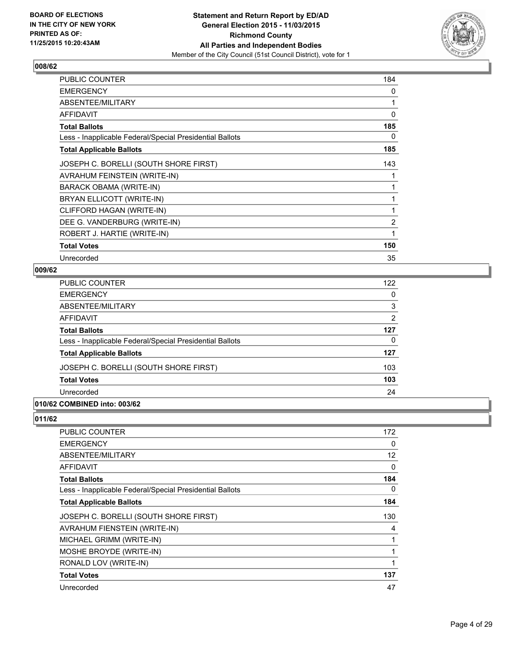

| PUBLIC COUNTER                                           | 184            |
|----------------------------------------------------------|----------------|
| <b>EMERGENCY</b>                                         | 0              |
| ABSENTEE/MILITARY                                        | 1              |
| <b>AFFIDAVIT</b>                                         | 0              |
| <b>Total Ballots</b>                                     | 185            |
| Less - Inapplicable Federal/Special Presidential Ballots | 0              |
| <b>Total Applicable Ballots</b>                          | 185            |
| JOSEPH C. BORELLI (SOUTH SHORE FIRST)                    | 143            |
| AVRAHUM FEINSTEIN (WRITE-IN)                             |                |
| BARACK OBAMA (WRITE-IN)                                  | 1              |
| BRYAN ELLICOTT (WRITE-IN)                                |                |
| CLIFFORD HAGAN (WRITE-IN)                                | 1              |
| DEE G. VANDERBURG (WRITE-IN)                             | $\overline{2}$ |
| ROBERT J. HARTIE (WRITE-IN)                              | 1              |
| <b>Total Votes</b>                                       | 150            |
| Unrecorded                                               | 35             |

## **009/62**

| PUBLIC COUNTER                                           | 122            |
|----------------------------------------------------------|----------------|
| EMERGENCY                                                | 0              |
| ABSENTEE/MILITARY                                        | 3              |
| AFFIDAVIT                                                | $\overline{2}$ |
| Total Ballots                                            | 127            |
| Less - Inapplicable Federal/Special Presidential Ballots | 0              |
| <b>Total Applicable Ballots</b>                          | 127            |
| JOSEPH C. BORELLI (SOUTH SHORE FIRST)                    | 103            |
| <b>Total Votes</b>                                       | 103            |
| Unrecorded                                               | 24             |
| 0.01101100                                               |                |

# **010/62 COMBINED into: 003/62**

| PUBLIC COUNTER                                           | 172 |
|----------------------------------------------------------|-----|
| <b>EMERGENCY</b>                                         | 0   |
| ABSENTEE/MILITARY                                        | 12  |
| <b>AFFIDAVIT</b>                                         | 0   |
| <b>Total Ballots</b>                                     | 184 |
| Less - Inapplicable Federal/Special Presidential Ballots | 0   |
| <b>Total Applicable Ballots</b>                          | 184 |
| JOSEPH C. BORELLI (SOUTH SHORE FIRST)                    | 130 |
| AVRAHUM FIENSTEIN (WRITE-IN)                             | 4   |
| MICHAEL GRIMM (WRITE-IN)                                 |     |
| MOSHE BROYDE (WRITE-IN)                                  | 1   |
| RONALD LOV (WRITE-IN)                                    | 1   |
| <b>Total Votes</b>                                       | 137 |
| Unrecorded                                               | 47  |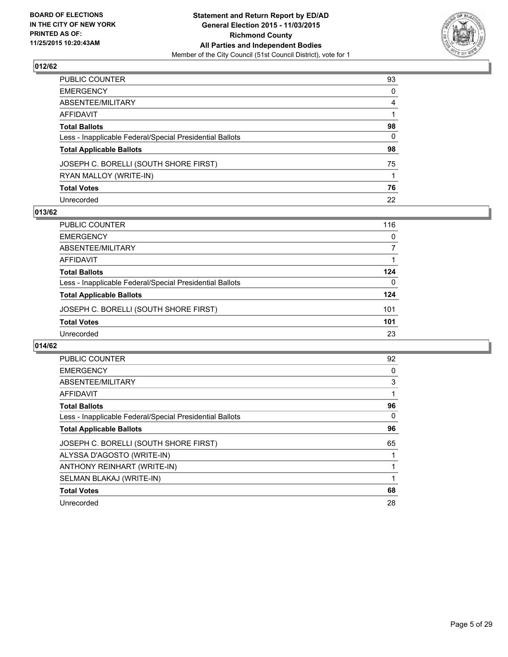

| PUBLIC COUNTER                                           | 93           |
|----------------------------------------------------------|--------------|
| EMERGENCY                                                | $\mathbf{0}$ |
| ABSENTEE/MILITARY                                        | 4            |
| AFFIDAVIT                                                |              |
| Total Ballots                                            | 98           |
| Less - Inapplicable Federal/Special Presidential Ballots | 0            |
| <b>Total Applicable Ballots</b>                          | 98           |
| JOSEPH C. BORELLI (SOUTH SHORE FIRST)                    | 75           |
| RYAN MALLOY (WRITE-IN)                                   |              |
| <b>Total Votes</b>                                       | 76           |
| Unrecorded                                               | 22           |

#### **013/62**

| PUBLIC COUNTER                                           | 116      |
|----------------------------------------------------------|----------|
| <b>EMERGENCY</b>                                         | 0        |
| ABSENTEE/MILITARY                                        | 7        |
| <b>AFFIDAVIT</b>                                         |          |
| <b>Total Ballots</b>                                     | 124      |
| Less - Inapplicable Federal/Special Presidential Ballots | $\Omega$ |
| <b>Total Applicable Ballots</b>                          | 124      |
| JOSEPH C. BORELLI (SOUTH SHORE FIRST)                    | 101      |
| <b>Total Votes</b>                                       | 101      |
| Unrecorded                                               | 23       |
|                                                          |          |

| PUBLIC COUNTER                                           | 92 |
|----------------------------------------------------------|----|
| <b>EMERGENCY</b>                                         | 0  |
| ABSENTEE/MILITARY                                        | 3  |
| AFFIDAVIT                                                |    |
| <b>Total Ballots</b>                                     | 96 |
| Less - Inapplicable Federal/Special Presidential Ballots | 0  |
| <b>Total Applicable Ballots</b>                          | 96 |
| JOSEPH C. BORELLI (SOUTH SHORE FIRST)                    | 65 |
| ALYSSA D'AGOSTO (WRITE-IN)                               |    |
| ANTHONY REINHART (WRITE-IN)                              |    |
| SELMAN BLAKAJ (WRITE-IN)                                 |    |
| <b>Total Votes</b>                                       | 68 |
| Unrecorded                                               | 28 |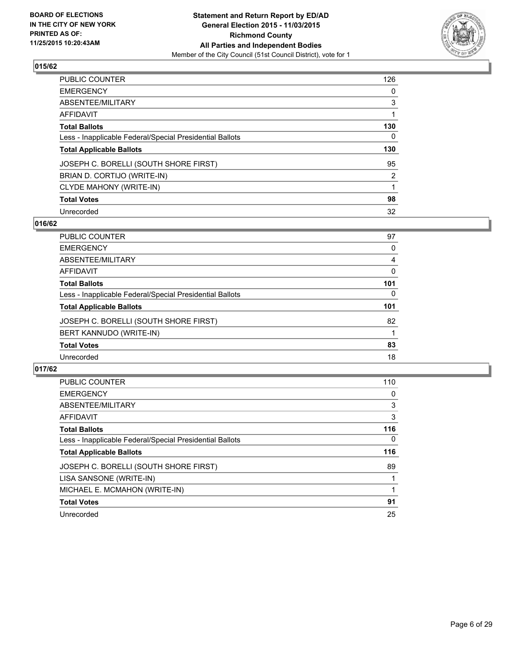

| <b>PUBLIC COUNTER</b>                                    | 126            |
|----------------------------------------------------------|----------------|
| <b>EMERGENCY</b>                                         | 0              |
| ABSENTEE/MILITARY                                        | 3              |
| <b>AFFIDAVIT</b>                                         |                |
| <b>Total Ballots</b>                                     | 130            |
| Less - Inapplicable Federal/Special Presidential Ballots | 0              |
| <b>Total Applicable Ballots</b>                          | 130            |
| JOSEPH C. BORELLI (SOUTH SHORE FIRST)                    | 95             |
| BRIAN D. CORTIJO (WRITE-IN)                              | $\overline{2}$ |
| CLYDE MAHONY (WRITE-IN)                                  |                |
| <b>Total Votes</b>                                       | 98             |
| Unrecorded                                               | 32             |

## **016/62**

| <b>PUBLIC COUNTER</b>                                    | 97       |
|----------------------------------------------------------|----------|
| <b>EMERGENCY</b>                                         | 0        |
| ABSENTEE/MILITARY                                        | 4        |
| AFFIDAVIT                                                | 0        |
| <b>Total Ballots</b>                                     | 101      |
| Less - Inapplicable Federal/Special Presidential Ballots | $\Omega$ |
| <b>Total Applicable Ballots</b>                          | 101      |
| JOSEPH C. BORELLI (SOUTH SHORE FIRST)                    | 82       |
| BERT KANNUDO (WRITE-IN)                                  |          |
| <b>Total Votes</b>                                       | 83       |
| Unrecorded                                               | 18       |
|                                                          |          |

| <b>PUBLIC COUNTER</b>                                    | 110      |
|----------------------------------------------------------|----------|
| <b>EMERGENCY</b>                                         | 0        |
| ABSENTEE/MILITARY                                        | 3        |
| <b>AFFIDAVIT</b>                                         | 3        |
| <b>Total Ballots</b>                                     | 116      |
| Less - Inapplicable Federal/Special Presidential Ballots | $\Omega$ |
| <b>Total Applicable Ballots</b>                          | 116      |
| JOSEPH C. BORELLI (SOUTH SHORE FIRST)                    | 89       |
| LISA SANSONE (WRITE-IN)                                  |          |
| MICHAEL E. MCMAHON (WRITE-IN)                            |          |
| <b>Total Votes</b>                                       | 91       |
| Unrecorded                                               | 25       |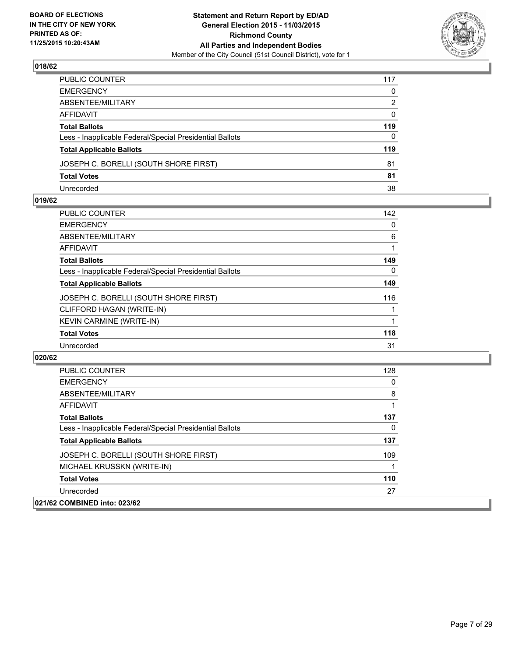

| PUBLIC COUNTER                                           | 117          |
|----------------------------------------------------------|--------------|
| EMERGENCY                                                | $\mathbf{0}$ |
| ABSENTEE/MILITARY                                        | 2            |
| AFFIDAVIT                                                | $\mathbf{0}$ |
| Total Ballots                                            | 119          |
| Less - Inapplicable Federal/Special Presidential Ballots | $\mathbf{0}$ |
| <b>Total Applicable Ballots</b>                          | 119          |
| JOSEPH C. BORELLI (SOUTH SHORE FIRST)                    | 81           |
| <b>Total Votes</b>                                       | 81           |
| Unrecorded                                               | 38           |

#### **019/62**

| <b>PUBLIC COUNTER</b>                                    | 142 |
|----------------------------------------------------------|-----|
| <b>EMERGENCY</b>                                         | 0   |
| ABSENTEE/MILITARY                                        | 6   |
| AFFIDAVIT                                                |     |
| <b>Total Ballots</b>                                     | 149 |
| Less - Inapplicable Federal/Special Presidential Ballots | 0   |
| <b>Total Applicable Ballots</b>                          | 149 |
| JOSEPH C. BORELLI (SOUTH SHORE FIRST)                    | 116 |
| CLIFFORD HAGAN (WRITE-IN)                                |     |
| <b>KEVIN CARMINE (WRITE-IN)</b>                          |     |
| <b>Total Votes</b>                                       | 118 |
| Unrecorded                                               | 31  |
|                                                          |     |

| <b>PUBLIC COUNTER</b>                                    | 128 |
|----------------------------------------------------------|-----|
| <b>EMERGENCY</b>                                         | 0   |
| ABSENTEE/MILITARY                                        | 8   |
| AFFIDAVIT                                                |     |
| <b>Total Ballots</b>                                     | 137 |
| Less - Inapplicable Federal/Special Presidential Ballots | 0   |
| <b>Total Applicable Ballots</b>                          | 137 |
| JOSEPH C. BORELLI (SOUTH SHORE FIRST)                    | 109 |
| MICHAEL KRUSSKN (WRITE-IN)                               |     |
| <b>Total Votes</b>                                       | 110 |
| Unrecorded                                               | 27  |
| 021/62 COMBINED into: 023/62                             |     |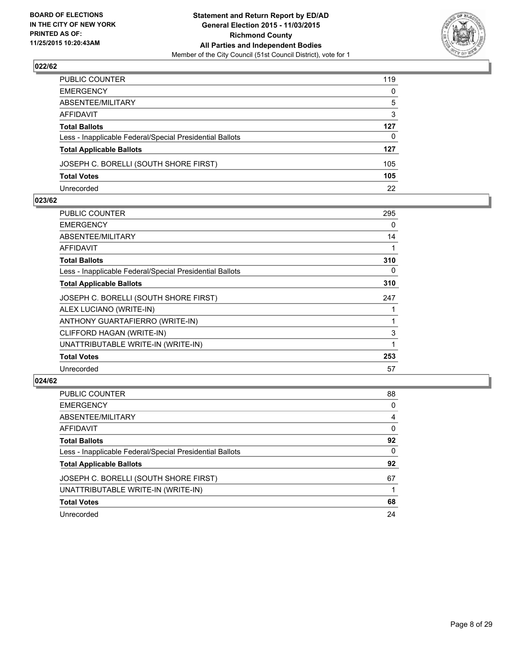

| PUBLIC COUNTER                                           | 119 |
|----------------------------------------------------------|-----|
| EMERGENCY                                                | 0   |
| ABSENTEE/MILITARY                                        | 5   |
| AFFIDAVIT                                                | 3   |
| Total Ballots                                            | 127 |
| Less - Inapplicable Federal/Special Presidential Ballots | 0   |
| <b>Total Applicable Ballots</b>                          | 127 |
| JOSEPH C. BORELLI (SOUTH SHORE FIRST)                    | 105 |
| Total Votes                                              | 105 |
| Unrecorded                                               | 22  |

#### **023/62**

| PUBLIC COUNTER                                           | 295 |
|----------------------------------------------------------|-----|
| <b>EMERGENCY</b>                                         | 0   |
| ABSENTEE/MILITARY                                        | 14  |
| <b>AFFIDAVIT</b>                                         | 1   |
| <b>Total Ballots</b>                                     | 310 |
| Less - Inapplicable Federal/Special Presidential Ballots | 0   |
| <b>Total Applicable Ballots</b>                          | 310 |
| JOSEPH C. BORELLI (SOUTH SHORE FIRST)                    | 247 |
| ALEX LUCIANO (WRITE-IN)                                  |     |
| ANTHONY GUARTAFIERRO (WRITE-IN)                          |     |
| CLIFFORD HAGAN (WRITE-IN)                                | 3   |
| UNATTRIBUTABLE WRITE-IN (WRITE-IN)                       |     |
| <b>Total Votes</b>                                       | 253 |
| Unrecorded                                               | 57  |
|                                                          |     |

| <b>PUBLIC COUNTER</b>                                    | 88 |
|----------------------------------------------------------|----|
| <b>EMERGENCY</b>                                         | 0  |
| ABSENTEE/MILITARY                                        | 4  |
| AFFIDAVIT                                                | 0  |
| <b>Total Ballots</b>                                     | 92 |
| Less - Inapplicable Federal/Special Presidential Ballots | 0  |
| <b>Total Applicable Ballots</b>                          | 92 |
| JOSEPH C. BORELLI (SOUTH SHORE FIRST)                    | 67 |
| UNATTRIBUTABLE WRITE-IN (WRITE-IN)                       |    |
| <b>Total Votes</b>                                       | 68 |
| Unrecorded                                               | 24 |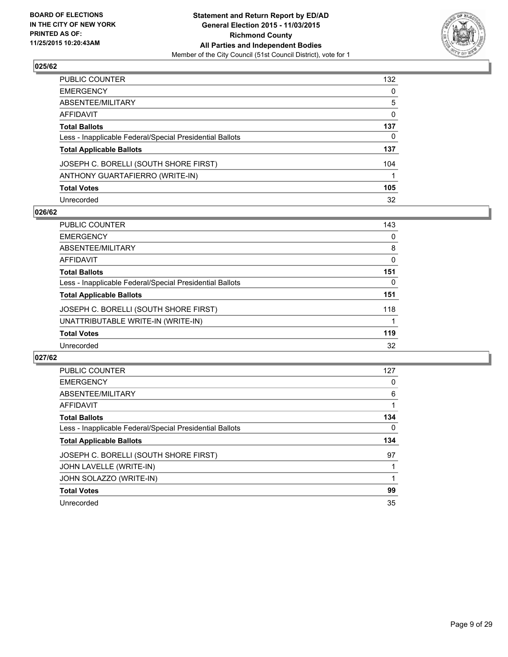

| PUBLIC COUNTER                                           | 132 |
|----------------------------------------------------------|-----|
| EMERGENCY                                                | 0   |
| ABSENTEE/MILITARY                                        | 5   |
| AFFIDAVIT                                                | 0   |
| Total Ballots                                            | 137 |
| Less - Inapplicable Federal/Special Presidential Ballots | 0   |
| <b>Total Applicable Ballots</b>                          | 137 |
| JOSEPH C. BORELLI (SOUTH SHORE FIRST)                    | 104 |
| ANTHONY GUARTAFIERRO (WRITE-IN)                          |     |
| <b>Total Votes</b>                                       | 105 |
| Unrecorded                                               | 32  |

#### **026/62**

| PUBLIC COUNTER                                           | 143 |
|----------------------------------------------------------|-----|
| <b>EMERGENCY</b>                                         | 0   |
| ABSENTEE/MILITARY                                        | 8   |
| AFFIDAVIT                                                | 0   |
| <b>Total Ballots</b>                                     | 151 |
| Less - Inapplicable Federal/Special Presidential Ballots | 0   |
| <b>Total Applicable Ballots</b>                          | 151 |
| JOSEPH C. BORELLI (SOUTH SHORE FIRST)                    | 118 |
| UNATTRIBUTABLE WRITE-IN (WRITE-IN)                       |     |
| <b>Total Votes</b>                                       | 119 |
| Unrecorded                                               | 32  |
|                                                          |     |

| <b>PUBLIC COUNTER</b>                                    | 127 |
|----------------------------------------------------------|-----|
| <b>EMERGENCY</b>                                         | 0   |
| ABSENTEE/MILITARY                                        | 6   |
| AFFIDAVIT                                                |     |
| <b>Total Ballots</b>                                     | 134 |
| Less - Inapplicable Federal/Special Presidential Ballots | 0   |
|                                                          |     |
| <b>Total Applicable Ballots</b>                          | 134 |
| JOSEPH C. BORELLI (SOUTH SHORE FIRST)                    | 97  |
| JOHN LAVELLE (WRITE-IN)                                  |     |
| JOHN SOLAZZO (WRITE-IN)                                  |     |
| <b>Total Votes</b>                                       | 99  |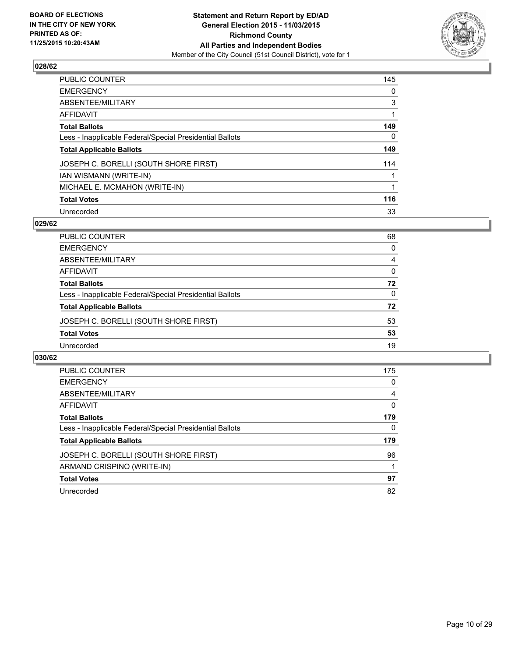

| PUBLIC COUNTER                                           | 145 |
|----------------------------------------------------------|-----|
| <b>EMERGENCY</b>                                         | 0   |
| ABSENTEE/MILITARY                                        | 3   |
| AFFIDAVIT                                                |     |
| <b>Total Ballots</b>                                     | 149 |
| Less - Inapplicable Federal/Special Presidential Ballots | 0   |
| <b>Total Applicable Ballots</b>                          | 149 |
| JOSEPH C. BORELLI (SOUTH SHORE FIRST)                    | 114 |
| IAN WISMANN (WRITE-IN)                                   |     |
| MICHAEL E. MCMAHON (WRITE-IN)                            | 1   |
| <b>Total Votes</b>                                       | 116 |
| Unrecorded                                               | 33  |

#### **029/62**

| <b>PUBLIC COUNTER</b>                                    | 68       |
|----------------------------------------------------------|----------|
| <b>EMERGENCY</b>                                         | 0        |
| ABSENTEE/MILITARY                                        | 4        |
| AFFIDAVIT                                                | $\Omega$ |
| <b>Total Ballots</b>                                     | 72       |
| Less - Inapplicable Federal/Special Presidential Ballots | $\Omega$ |
| <b>Total Applicable Ballots</b>                          | 72       |
| JOSEPH C. BORELLI (SOUTH SHORE FIRST)                    | 53       |
| <b>Total Votes</b>                                       | 53       |
| Unrecorded                                               | 19       |
|                                                          |          |

| PUBLIC COUNTER                                           | 175 |
|----------------------------------------------------------|-----|
| <b>EMERGENCY</b>                                         | 0   |
| ABSENTEE/MILITARY                                        | 4   |
| AFFIDAVIT                                                | 0   |
| <b>Total Ballots</b>                                     | 179 |
| Less - Inapplicable Federal/Special Presidential Ballots | 0   |
| <b>Total Applicable Ballots</b>                          | 179 |
|                                                          |     |
| JOSEPH C. BORELLI (SOUTH SHORE FIRST)                    | 96  |
| ARMAND CRISPINO (WRITE-IN)                               |     |
| <b>Total Votes</b>                                       | 97  |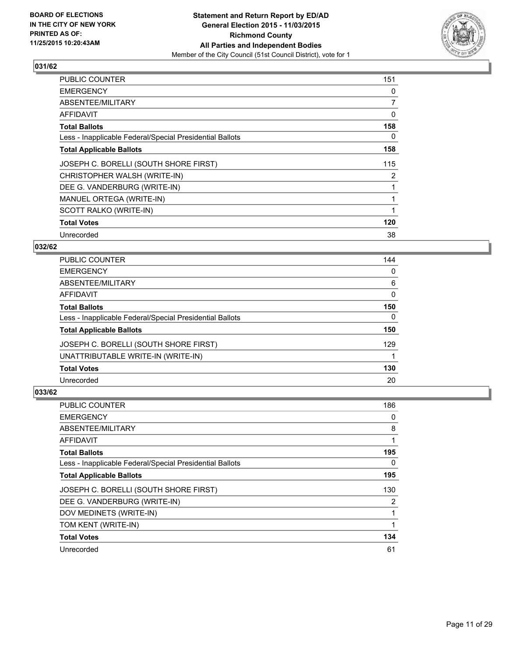

| <b>PUBLIC COUNTER</b>                                    | 151            |
|----------------------------------------------------------|----------------|
| <b>EMERGENCY</b>                                         | 0              |
| ABSENTEE/MILITARY                                        | 7              |
| AFFIDAVIT                                                | 0              |
| <b>Total Ballots</b>                                     | 158            |
| Less - Inapplicable Federal/Special Presidential Ballots | 0              |
| <b>Total Applicable Ballots</b>                          | 158            |
| JOSEPH C. BORELLI (SOUTH SHORE FIRST)                    | 115            |
| CHRISTOPHER WALSH (WRITE-IN)                             | $\overline{2}$ |
| DEE G. VANDERBURG (WRITE-IN)                             |                |
| MANUEL ORTEGA (WRITE-IN)                                 |                |
| SCOTT RALKO (WRITE-IN)                                   |                |
| <b>Total Votes</b>                                       | 120            |
| Unrecorded                                               | 38             |

## **032/62**

| <b>PUBLIC COUNTER</b>                                    | 144 |
|----------------------------------------------------------|-----|
| <b>EMERGENCY</b>                                         | 0   |
| ABSENTEE/MILITARY                                        | 6   |
| <b>AFFIDAVIT</b>                                         | 0   |
| <b>Total Ballots</b>                                     | 150 |
| Less - Inapplicable Federal/Special Presidential Ballots | 0   |
| <b>Total Applicable Ballots</b>                          | 150 |
| JOSEPH C. BORELLI (SOUTH SHORE FIRST)                    | 129 |
| UNATTRIBUTABLE WRITE-IN (WRITE-IN)                       |     |
| <b>Total Votes</b>                                       | 130 |
| Unrecorded                                               | 20  |

| PUBLIC COUNTER                                           | 186 |
|----------------------------------------------------------|-----|
| <b>EMERGENCY</b>                                         | 0   |
| ABSENTEE/MILITARY                                        | 8   |
| AFFIDAVIT                                                |     |
| <b>Total Ballots</b>                                     | 195 |
| Less - Inapplicable Federal/Special Presidential Ballots | 0   |
| <b>Total Applicable Ballots</b>                          | 195 |
| JOSEPH C. BORELLI (SOUTH SHORE FIRST)                    | 130 |
| DEE G. VANDERBURG (WRITE-IN)                             | 2   |
| DOV MEDINETS (WRITE-IN)                                  |     |
| TOM KENT (WRITE-IN)                                      | 1   |
| <b>Total Votes</b>                                       | 134 |
| Unrecorded                                               | 61  |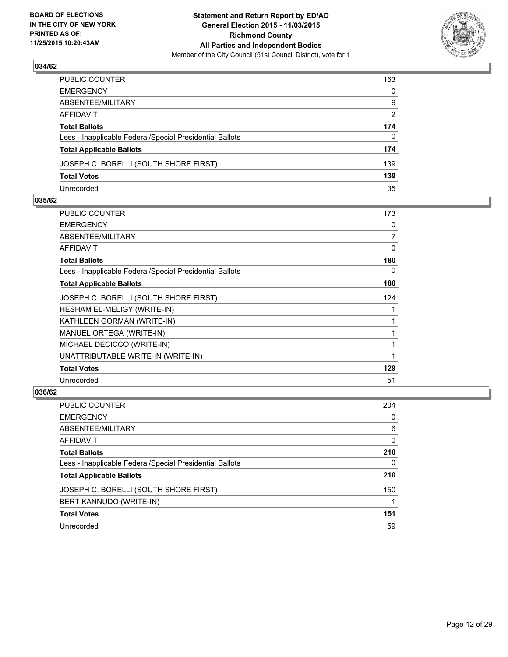

| PUBLIC COUNTER                                           | 163          |
|----------------------------------------------------------|--------------|
| EMERGENCY                                                | $\mathbf{0}$ |
| ABSENTEE/MILITARY                                        | 9            |
| AFFIDAVIT                                                | 2            |
| Total Ballots                                            | 174          |
| Less - Inapplicable Federal/Special Presidential Ballots | $\mathbf{0}$ |
| <b>Total Applicable Ballots</b>                          | 174          |
| JOSEPH C. BORELLI (SOUTH SHORE FIRST)                    | 139          |
| <b>Total Votes</b>                                       | 139          |
| Unrecorded                                               | 35           |

#### **035/62**

| PUBLIC COUNTER                                           | 173 |
|----------------------------------------------------------|-----|
| <b>EMERGENCY</b>                                         | 0   |
| ABSENTEE/MILITARY                                        | 7   |
| <b>AFFIDAVIT</b>                                         | 0   |
| <b>Total Ballots</b>                                     | 180 |
| Less - Inapplicable Federal/Special Presidential Ballots | 0   |
| <b>Total Applicable Ballots</b>                          | 180 |
| JOSEPH C. BORELLI (SOUTH SHORE FIRST)                    | 124 |
| HESHAM EL-MELIGY (WRITE-IN)                              |     |
| KATHLEEN GORMAN (WRITE-IN)                               | 1   |
| MANUEL ORTEGA (WRITE-IN)                                 | 1   |
| MICHAEL DECICCO (WRITE-IN)                               | 1   |
| UNATTRIBUTABLE WRITE-IN (WRITE-IN)                       | 1   |
| <b>Total Votes</b>                                       | 129 |
| Unrecorded                                               | 51  |
|                                                          |     |

| <b>PUBLIC COUNTER</b>                                    | 204 |
|----------------------------------------------------------|-----|
| <b>EMERGENCY</b>                                         | 0   |
| ABSENTEE/MILITARY                                        | 6   |
| AFFIDAVIT                                                | 0   |
| <b>Total Ballots</b>                                     | 210 |
| Less - Inapplicable Federal/Special Presidential Ballots | 0   |
| <b>Total Applicable Ballots</b>                          | 210 |
| JOSEPH C. BORELLI (SOUTH SHORE FIRST)                    | 150 |
| BERT KANNUDO (WRITE-IN)                                  |     |
| <b>Total Votes</b>                                       | 151 |
| Unrecorded                                               | 59  |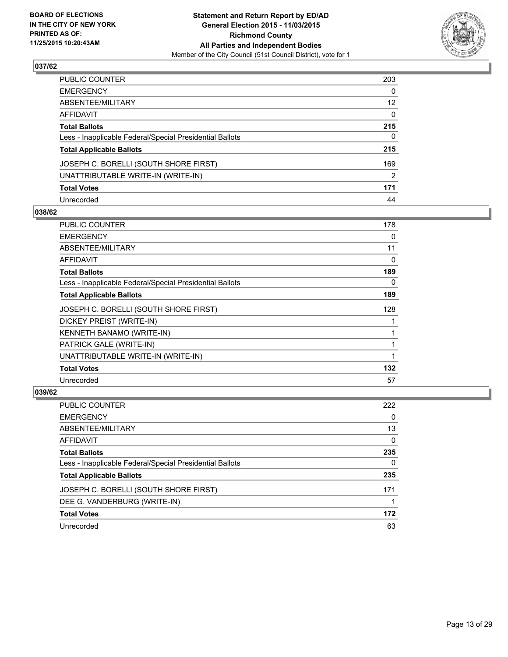

| PUBLIC COUNTER                                           | 203 |
|----------------------------------------------------------|-----|
| EMERGENCY                                                | 0   |
| ABSENTEE/MILITARY                                        | 12  |
| AFFIDAVIT                                                | 0   |
| Total Ballots                                            | 215 |
| Less - Inapplicable Federal/Special Presidential Ballots | 0   |
| <b>Total Applicable Ballots</b>                          | 215 |
| JOSEPH C. BORELLI (SOUTH SHORE FIRST)                    | 169 |
| UNATTRIBUTABLE WRITE-IN (WRITE-IN)                       | 2   |
| <b>Total Votes</b>                                       | 171 |
| Unrecorded                                               | 44  |

#### **038/62**

| PUBLIC COUNTER                                           | 178 |
|----------------------------------------------------------|-----|
| <b>EMERGENCY</b>                                         | 0   |
| ABSENTEE/MILITARY                                        | 11  |
| AFFIDAVIT                                                | 0   |
| <b>Total Ballots</b>                                     | 189 |
| Less - Inapplicable Federal/Special Presidential Ballots | 0   |
| <b>Total Applicable Ballots</b>                          | 189 |
| JOSEPH C. BORELLI (SOUTH SHORE FIRST)                    | 128 |
| DICKEY PREIST (WRITE-IN)                                 |     |
| KENNETH BANAMO (WRITE-IN)                                |     |
| PATRICK GALE (WRITE-IN)                                  |     |
| UNATTRIBUTABLE WRITE-IN (WRITE-IN)                       |     |
| <b>Total Votes</b>                                       | 132 |
| Unrecorded                                               | 57  |

| PUBLIC COUNTER                                           | 222 |
|----------------------------------------------------------|-----|
| <b>EMERGENCY</b>                                         | 0   |
| ABSENTEE/MILITARY                                        | 13  |
| AFFIDAVIT                                                | 0   |
| <b>Total Ballots</b>                                     | 235 |
| Less - Inapplicable Federal/Special Presidential Ballots | 0   |
| <b>Total Applicable Ballots</b>                          | 235 |
| JOSEPH C. BORELLI (SOUTH SHORE FIRST)                    | 171 |
| DEE G. VANDERBURG (WRITE-IN)                             |     |
| <b>Total Votes</b>                                       | 172 |
| Unrecorded                                               | 63  |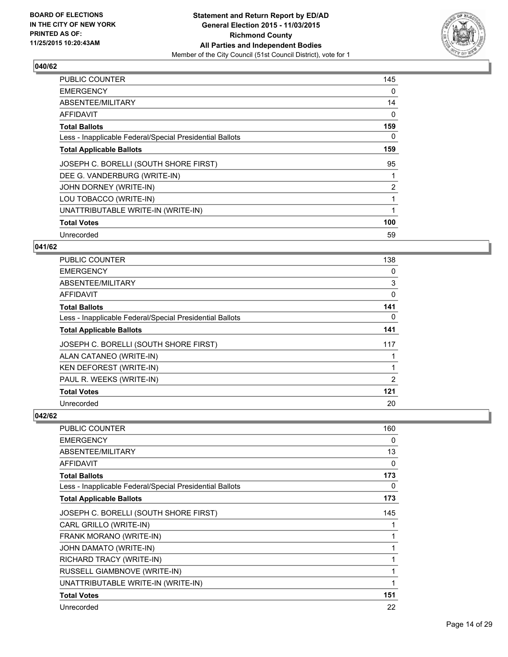

| <b>PUBLIC COUNTER</b>                                    | 145            |
|----------------------------------------------------------|----------------|
| <b>EMERGENCY</b>                                         | 0              |
| ABSENTEE/MILITARY                                        | 14             |
| AFFIDAVIT                                                | 0              |
| <b>Total Ballots</b>                                     | 159            |
| Less - Inapplicable Federal/Special Presidential Ballots | 0              |
| <b>Total Applicable Ballots</b>                          | 159            |
| JOSEPH C. BORELLI (SOUTH SHORE FIRST)                    | 95             |
| DEE G. VANDERBURG (WRITE-IN)                             |                |
| JOHN DORNEY (WRITE-IN)                                   | $\overline{2}$ |
| LOU TOBACCO (WRITE-IN)                                   |                |
| UNATTRIBUTABLE WRITE-IN (WRITE-IN)                       |                |
| <b>Total Votes</b>                                       | 100            |
| Unrecorded                                               | 59             |

## **041/62**

| PUBLIC COUNTER                                           | 138 |
|----------------------------------------------------------|-----|
| <b>EMERGENCY</b>                                         | 0   |
| ABSENTEE/MILITARY                                        | 3   |
| <b>AFFIDAVIT</b>                                         | 0   |
| <b>Total Ballots</b>                                     | 141 |
| Less - Inapplicable Federal/Special Presidential Ballots | 0   |
| <b>Total Applicable Ballots</b>                          | 141 |
| JOSEPH C. BORELLI (SOUTH SHORE FIRST)                    | 117 |
| ALAN CATANEO (WRITE-IN)                                  |     |
| KEN DEFOREST (WRITE-IN)                                  |     |
| PAUL R. WEEKS (WRITE-IN)                                 | 2   |
| <b>Total Votes</b>                                       | 121 |
| Unrecorded                                               | 20  |

| <b>PUBLIC COUNTER</b>                                    | 160 |
|----------------------------------------------------------|-----|
| <b>EMERGENCY</b>                                         | 0   |
| ABSENTEE/MILITARY                                        | 13  |
| <b>AFFIDAVIT</b>                                         | 0   |
| <b>Total Ballots</b>                                     | 173 |
| Less - Inapplicable Federal/Special Presidential Ballots | 0   |
| <b>Total Applicable Ballots</b>                          | 173 |
| JOSEPH C. BORELLI (SOUTH SHORE FIRST)                    | 145 |
| CARL GRILLO (WRITE-IN)                                   |     |
| FRANK MORANO (WRITE-IN)                                  |     |
| JOHN DAMATO (WRITE-IN)                                   | 1   |
| RICHARD TRACY (WRITE-IN)                                 | 1   |
| <b>RUSSELL GIAMBNOVE (WRITE-IN)</b>                      | 1   |
| UNATTRIBUTABLE WRITE-IN (WRITE-IN)                       | 1   |
| <b>Total Votes</b>                                       | 151 |
| Unrecorded                                               | 22  |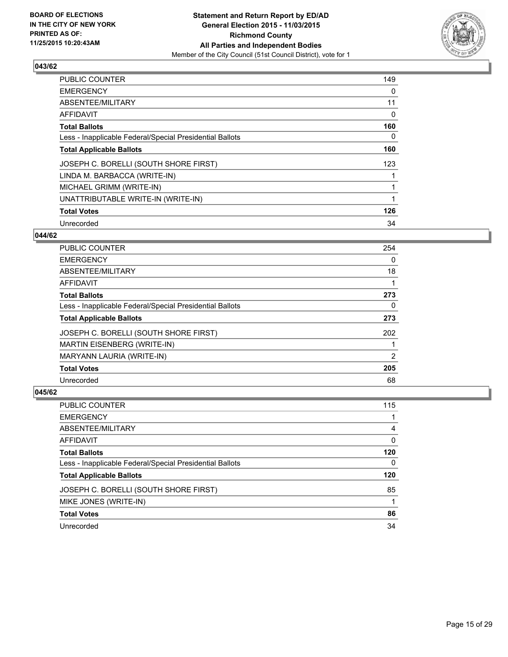

| <b>PUBLIC COUNTER</b>                                    | 149 |
|----------------------------------------------------------|-----|
| <b>EMERGENCY</b>                                         | 0   |
| ABSENTEE/MILITARY                                        | 11  |
| <b>AFFIDAVIT</b>                                         | 0   |
| <b>Total Ballots</b>                                     | 160 |
| Less - Inapplicable Federal/Special Presidential Ballots | 0   |
| <b>Total Applicable Ballots</b>                          | 160 |
| JOSEPH C. BORELLI (SOUTH SHORE FIRST)                    | 123 |
| LINDA M. BARBACCA (WRITE-IN)                             |     |
| MICHAEL GRIMM (WRITE-IN)                                 |     |
| UNATTRIBUTABLE WRITE-IN (WRITE-IN)                       |     |
| <b>Total Votes</b>                                       | 126 |
| Unrecorded                                               | 34  |

## **044/62**

| <b>PUBLIC COUNTER</b>                                    | 254 |
|----------------------------------------------------------|-----|
| <b>EMERGENCY</b>                                         | 0   |
| ABSENTEE/MILITARY                                        | 18  |
| <b>AFFIDAVIT</b>                                         |     |
| <b>Total Ballots</b>                                     | 273 |
| Less - Inapplicable Federal/Special Presidential Ballots | 0   |
| <b>Total Applicable Ballots</b>                          | 273 |
| JOSEPH C. BORELLI (SOUTH SHORE FIRST)                    | 202 |
| <b>MARTIN EISENBERG (WRITE-IN)</b>                       |     |
| MARYANN LAURIA (WRITE-IN)                                | 2   |
| <b>Total Votes</b>                                       | 205 |
| Unrecorded                                               | 68  |

| <b>PUBLIC COUNTER</b>                                    | 115 |
|----------------------------------------------------------|-----|
| <b>EMERGENCY</b>                                         |     |
| ABSENTEE/MILITARY                                        | 4   |
| AFFIDAVIT                                                | 0   |
| <b>Total Ballots</b>                                     | 120 |
| Less - Inapplicable Federal/Special Presidential Ballots | 0   |
| <b>Total Applicable Ballots</b>                          | 120 |
| JOSEPH C. BORELLI (SOUTH SHORE FIRST)                    | 85  |
| MIKE JONES (WRITE-IN)                                    |     |
| <b>Total Votes</b>                                       | 86  |
| Unrecorded                                               | 34  |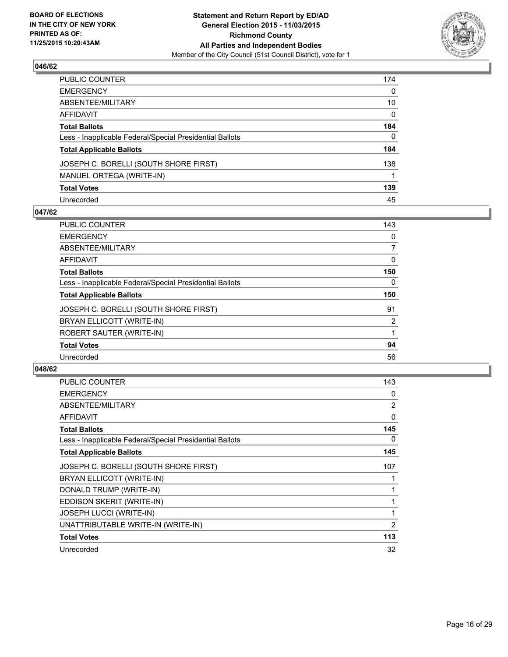

| PUBLIC COUNTER                                           | 174 |
|----------------------------------------------------------|-----|
| EMERGENCY                                                | 0   |
| ABSENTEE/MILITARY                                        | 10  |
| AFFIDAVIT                                                | 0   |
| Total Ballots                                            | 184 |
| Less - Inapplicable Federal/Special Presidential Ballots | 0   |
| <b>Total Applicable Ballots</b>                          | 184 |
| JOSEPH C. BORELLI (SOUTH SHORE FIRST)                    | 138 |
| MANUEL ORTEGA (WRITE-IN)                                 |     |
| <b>Total Votes</b>                                       | 139 |
| Unrecorded                                               | 45  |

#### **047/62**

| PUBLIC COUNTER                                           | 143      |
|----------------------------------------------------------|----------|
| <b>EMERGENCY</b>                                         | 0        |
| ABSENTEE/MILITARY                                        | 7        |
| AFFIDAVIT                                                | 0        |
| <b>Total Ballots</b>                                     | 150      |
| Less - Inapplicable Federal/Special Presidential Ballots | $\Omega$ |
| <b>Total Applicable Ballots</b>                          | 150      |
| JOSEPH C. BORELLI (SOUTH SHORE FIRST)                    | 91       |
| BRYAN ELLICOTT (WRITE-IN)                                | 2        |
| ROBERT SAUTER (WRITE-IN)                                 |          |
| <b>Total Votes</b>                                       | 94       |
| Unrecorded                                               | 56       |

| <b>PUBLIC COUNTER</b>                                    | 143            |
|----------------------------------------------------------|----------------|
| <b>EMERGENCY</b>                                         | 0              |
| ABSENTEE/MILITARY                                        | $\overline{2}$ |
| AFFIDAVIT                                                | 0              |
| <b>Total Ballots</b>                                     | 145            |
| Less - Inapplicable Federal/Special Presidential Ballots | 0              |
| <b>Total Applicable Ballots</b>                          | 145            |
| JOSEPH C. BORELLI (SOUTH SHORE FIRST)                    | 107            |
| BRYAN ELLICOTT (WRITE-IN)                                |                |
| DONALD TRUMP (WRITE-IN)                                  |                |
| EDDISON SKERIT (WRITE-IN)                                |                |
| <b>JOSEPH LUCCI (WRITE-IN)</b>                           | 1              |
| UNATTRIBUTABLE WRITE-IN (WRITE-IN)                       | 2              |
| <b>Total Votes</b>                                       | 113            |
| Unrecorded                                               | 32             |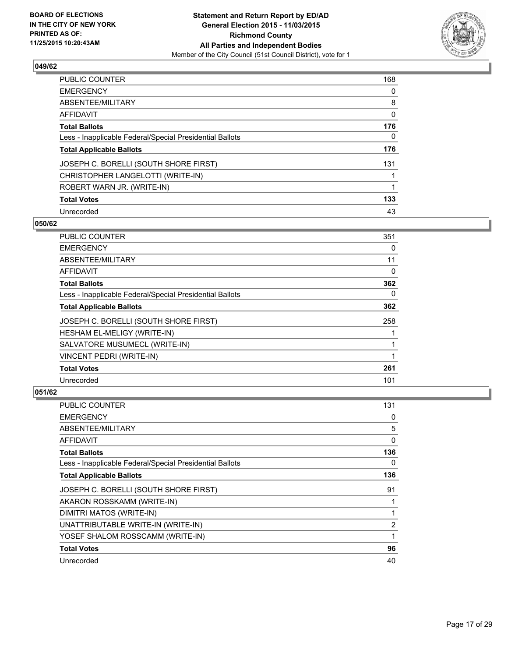

| <b>PUBLIC COUNTER</b>                                    | 168          |
|----------------------------------------------------------|--------------|
| <b>EMERGENCY</b>                                         | 0            |
| ABSENTEE/MILITARY                                        | 8            |
| <b>AFFIDAVIT</b>                                         | 0            |
| <b>Total Ballots</b>                                     | 176          |
| Less - Inapplicable Federal/Special Presidential Ballots | $\mathbf{0}$ |
| <b>Total Applicable Ballots</b>                          | 176          |
| JOSEPH C. BORELLI (SOUTH SHORE FIRST)                    | 131          |
| CHRISTOPHER LANGELOTTI (WRITE-IN)                        |              |
| ROBERT WARN JR. (WRITE-IN)                               | 1            |
| <b>Total Votes</b>                                       | 133          |
| Unrecorded                                               | 43           |

#### **050/62**

| <b>PUBLIC COUNTER</b>                                    | 351 |
|----------------------------------------------------------|-----|
| <b>EMERGENCY</b>                                         | 0   |
| ABSENTEE/MILITARY                                        | 11  |
| AFFIDAVIT                                                | 0   |
| <b>Total Ballots</b>                                     | 362 |
| Less - Inapplicable Federal/Special Presidential Ballots | 0   |
| <b>Total Applicable Ballots</b>                          | 362 |
| JOSEPH C. BORELLI (SOUTH SHORE FIRST)                    | 258 |
| HESHAM EL-MELIGY (WRITE-IN)                              |     |
| SALVATORE MUSUMECL (WRITE-IN)                            |     |
| VINCENT PEDRI (WRITE-IN)                                 | 1   |
| <b>Total Votes</b>                                       | 261 |
| Unrecorded                                               | 101 |

| PUBLIC COUNTER                                           | 131 |
|----------------------------------------------------------|-----|
| <b>EMERGENCY</b>                                         | 0   |
| ABSENTEE/MILITARY                                        | 5   |
| AFFIDAVIT                                                | 0   |
| <b>Total Ballots</b>                                     | 136 |
| Less - Inapplicable Federal/Special Presidential Ballots | 0   |
| <b>Total Applicable Ballots</b>                          | 136 |
| JOSEPH C. BORELLI (SOUTH SHORE FIRST)                    | 91  |
| AKARON ROSSKAMM (WRITE-IN)                               |     |
| DIMITRI MATOS (WRITE-IN)                                 |     |
| UNATTRIBUTABLE WRITE-IN (WRITE-IN)                       | 2   |
| YOSEF SHALOM ROSSCAMM (WRITE-IN)                         | 1   |
| <b>Total Votes</b>                                       | 96  |
| Unrecorded                                               | 40  |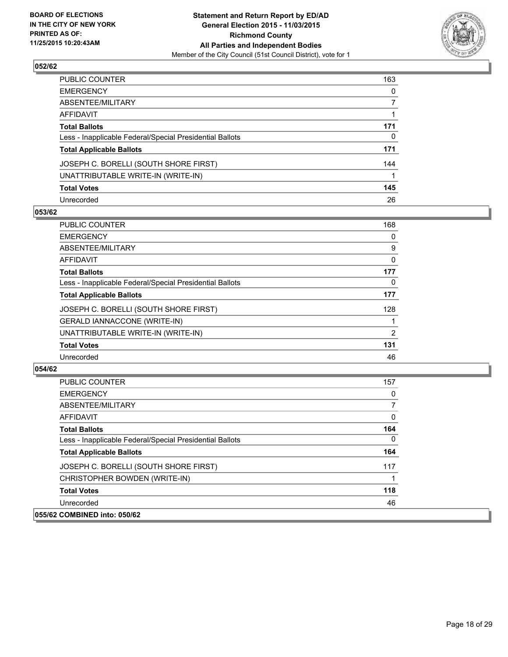

| PUBLIC COUNTER                                           | 163 |
|----------------------------------------------------------|-----|
| EMERGENCY                                                | 0   |
| ABSENTEE/MILITARY                                        |     |
| AFFIDAVIT                                                |     |
| Total Ballots                                            | 171 |
| Less - Inapplicable Federal/Special Presidential Ballots | 0   |
| <b>Total Applicable Ballots</b>                          | 171 |
| JOSEPH C. BORELLI (SOUTH SHORE FIRST)                    | 144 |
| UNATTRIBUTABLE WRITE-IN (WRITE-IN)                       |     |
| <b>Total Votes</b>                                       | 145 |
| Unrecorded                                               | 26  |

#### **053/62**

| PUBLIC COUNTER                                           | 168      |
|----------------------------------------------------------|----------|
| <b>EMERGENCY</b>                                         | 0        |
| ABSENTEE/MILITARY                                        | 9        |
| AFFIDAVIT                                                | 0        |
| <b>Total Ballots</b>                                     | 177      |
| Less - Inapplicable Federal/Special Presidential Ballots | $\Omega$ |
| <b>Total Applicable Ballots</b>                          | 177      |
| JOSEPH C. BORELLI (SOUTH SHORE FIRST)                    | 128      |
| <b>GERALD IANNACCONE (WRITE-IN)</b>                      |          |
| UNATTRIBUTABLE WRITE-IN (WRITE-IN)                       | 2        |
| <b>Total Votes</b>                                       | 131      |
| Unrecorded                                               | 46       |

| <b>PUBLIC COUNTER</b>                                    | 157 |
|----------------------------------------------------------|-----|
| <b>EMERGENCY</b>                                         | 0   |
| ABSENTEE/MILITARY                                        | 7   |
| AFFIDAVIT                                                | 0   |
| <b>Total Ballots</b>                                     | 164 |
| Less - Inapplicable Federal/Special Presidential Ballots | 0   |
| <b>Total Applicable Ballots</b>                          | 164 |
| JOSEPH C. BORELLI (SOUTH SHORE FIRST)                    | 117 |
| CHRISTOPHER BOWDEN (WRITE-IN)                            |     |
| <b>Total Votes</b>                                       | 118 |
| Unrecorded                                               | 46  |
| 055/62 COMBINED into: 050/62                             |     |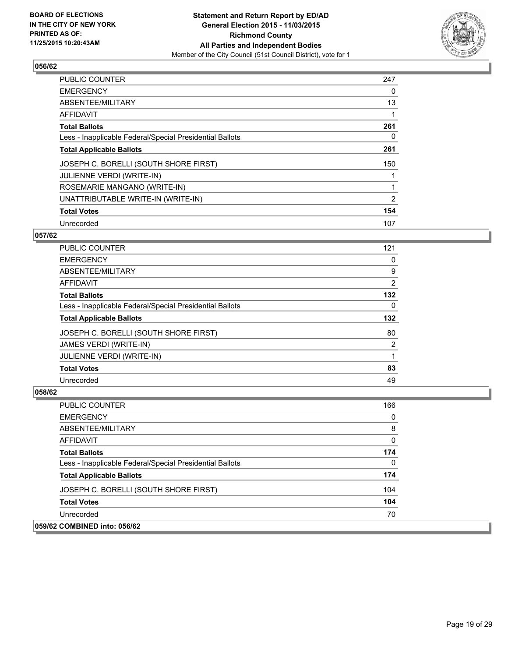

| PUBLIC COUNTER                                           | 247 |
|----------------------------------------------------------|-----|
| <b>EMERGENCY</b>                                         | 0   |
| ABSENTEE/MILITARY                                        | 13  |
| <b>AFFIDAVIT</b>                                         |     |
| <b>Total Ballots</b>                                     | 261 |
| Less - Inapplicable Federal/Special Presidential Ballots | 0   |
| <b>Total Applicable Ballots</b>                          | 261 |
| JOSEPH C. BORELLI (SOUTH SHORE FIRST)                    | 150 |
| <b>JULIENNE VERDI (WRITE-IN)</b>                         |     |
| ROSEMARIE MANGANO (WRITE-IN)                             | 1   |
| UNATTRIBUTABLE WRITE-IN (WRITE-IN)                       | 2   |
| <b>Total Votes</b>                                       | 154 |
| Unrecorded                                               | 107 |

#### **057/62**

| <b>PUBLIC COUNTER</b>                                    | 121 |
|----------------------------------------------------------|-----|
| <b>EMERGENCY</b>                                         | 0   |
| ABSENTEE/MILITARY                                        | 9   |
| AFFIDAVIT                                                | 2   |
| <b>Total Ballots</b>                                     | 132 |
| Less - Inapplicable Federal/Special Presidential Ballots | 0   |
| <b>Total Applicable Ballots</b>                          | 132 |
| JOSEPH C. BORELLI (SOUTH SHORE FIRST)                    | 80  |
| <b>JAMES VERDI (WRITE-IN)</b>                            | 2   |
| JULIENNE VERDI (WRITE-IN)                                |     |
| <b>Total Votes</b>                                       | 83  |
| Unrecorded                                               | 49  |

| PUBLIC COUNTER                                           | 166      |
|----------------------------------------------------------|----------|
| <b>EMERGENCY</b>                                         | 0        |
| ABSENTEE/MILITARY                                        | 8        |
| AFFIDAVIT                                                | $\Omega$ |
| <b>Total Ballots</b>                                     | 174      |
| Less - Inapplicable Federal/Special Presidential Ballots | 0        |
| <b>Total Applicable Ballots</b>                          | 174      |
| JOSEPH C. BORELLI (SOUTH SHORE FIRST)                    | 104      |
| <b>Total Votes</b>                                       | 104      |
| Unrecorded                                               | 70       |
| 059/62 COMBINED into: 056/62                             |          |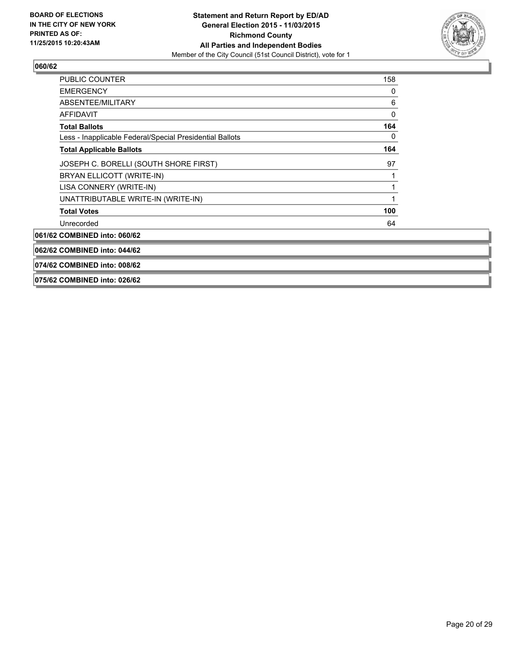

| PUBLIC COUNTER                                           | 158 |
|----------------------------------------------------------|-----|
| <b>EMERGENCY</b>                                         | 0   |
| ABSENTEE/MILITARY                                        | 6   |
| <b>AFFIDAVIT</b>                                         | 0   |
| <b>Total Ballots</b>                                     | 164 |
| Less - Inapplicable Federal/Special Presidential Ballots | 0   |
| <b>Total Applicable Ballots</b>                          | 164 |
| JOSEPH C. BORELLI (SOUTH SHORE FIRST)                    | 97  |
| BRYAN ELLICOTT (WRITE-IN)                                |     |
| LISA CONNERY (WRITE-IN)                                  |     |
| UNATTRIBUTABLE WRITE-IN (WRITE-IN)                       |     |
| <b>Total Votes</b>                                       | 100 |
| Unrecorded                                               | 64  |
| 061/62 COMBINED into: 060/62                             |     |
| 062/62 COMBINED into: 044/62                             |     |
| 074/62 COMBINED into: 008/62                             |     |

#### **075/62 COMBINED into: 026/62**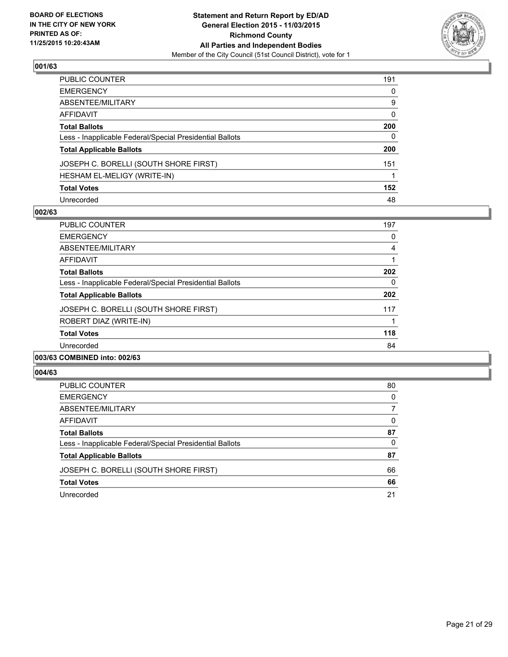

| PUBLIC COUNTER                                           | 191 |
|----------------------------------------------------------|-----|
| EMERGENCY                                                | 0   |
| ABSENTEE/MILITARY                                        | 9   |
| AFFIDAVIT                                                | 0   |
| Total Ballots                                            | 200 |
| Less - Inapplicable Federal/Special Presidential Ballots | 0   |
| <b>Total Applicable Ballots</b>                          | 200 |
| JOSEPH C. BORELLI (SOUTH SHORE FIRST)                    | 151 |
| HESHAM EL-MELIGY (WRITE-IN)                              |     |
| <b>Total Votes</b>                                       | 152 |
| Unrecorded                                               | 48  |

#### **002/63**

| PUBLIC COUNTER                                           | 197 |
|----------------------------------------------------------|-----|
| <b>EMERGENCY</b>                                         | 0   |
| ABSENTEE/MILITARY                                        | 4   |
| AFFIDAVIT                                                |     |
| <b>Total Ballots</b>                                     | 202 |
| Less - Inapplicable Federal/Special Presidential Ballots | 0   |
| <b>Total Applicable Ballots</b>                          | 202 |
| JOSEPH C. BORELLI (SOUTH SHORE FIRST)                    | 117 |
| ROBERT DIAZ (WRITE-IN)                                   |     |
| <b>Total Votes</b>                                       | 118 |
| Unrecorded                                               | 84  |
|                                                          |     |

#### **003/63 COMBINED into: 002/63**

| <b>PUBLIC COUNTER</b>                                    | 80 |
|----------------------------------------------------------|----|
| <b>EMERGENCY</b>                                         | 0  |
| ABSENTEE/MILITARY                                        |    |
| AFFIDAVIT                                                | 0  |
| <b>Total Ballots</b>                                     | 87 |
| Less - Inapplicable Federal/Special Presidential Ballots | 0  |
| <b>Total Applicable Ballots</b>                          | 87 |
| JOSEPH C. BORELLI (SOUTH SHORE FIRST)                    | 66 |
| <b>Total Votes</b>                                       | 66 |
| Unrecorded                                               | 21 |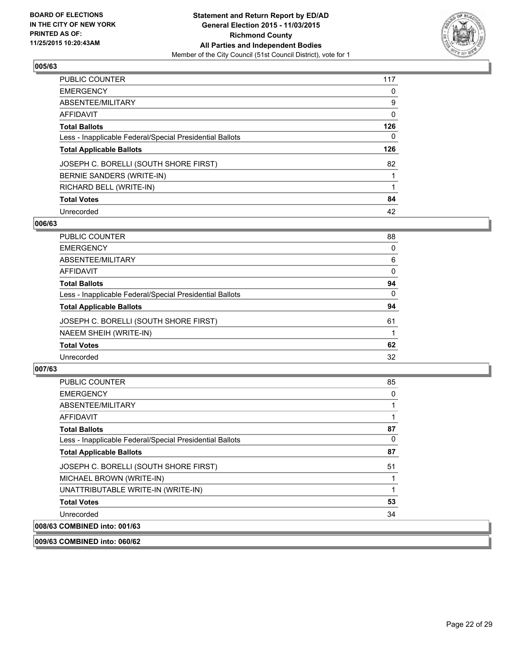

| PUBLIC COUNTER                                           | 117 |
|----------------------------------------------------------|-----|
| <b>EMERGENCY</b>                                         | 0   |
| <b>ABSENTEE/MILITARY</b>                                 | 9   |
| <b>AFFIDAVIT</b>                                         | 0   |
| <b>Total Ballots</b>                                     | 126 |
| Less - Inapplicable Federal/Special Presidential Ballots | 0   |
| <b>Total Applicable Ballots</b>                          | 126 |
| JOSEPH C. BORELLI (SOUTH SHORE FIRST)                    | 82  |
| BERNIE SANDERS (WRITE-IN)                                |     |
| RICHARD BELL (WRITE-IN)                                  |     |
| <b>Total Votes</b>                                       | 84  |
| Unrecorded                                               | 42  |

## **006/63**

| PUBLIC COUNTER                                           | 88       |
|----------------------------------------------------------|----------|
| <b>EMERGENCY</b>                                         | 0        |
| ABSENTEE/MILITARY                                        | 6        |
| AFFIDAVIT                                                | 0        |
| <b>Total Ballots</b>                                     | 94       |
| Less - Inapplicable Federal/Special Presidential Ballots | $\Omega$ |
| <b>Total Applicable Ballots</b>                          | 94       |
| JOSEPH C. BORELLI (SOUTH SHORE FIRST)                    | 61       |
| NAEEM SHEIH (WRITE-IN)                                   |          |
| <b>Total Votes</b>                                       | 62       |
| Unrecorded                                               | 32       |
|                                                          |          |

## **007/63**

| <b>PUBLIC COUNTER</b>                                    | 85 |
|----------------------------------------------------------|----|
| <b>EMERGENCY</b>                                         | 0  |
| ABSENTEE/MILITARY                                        | 1  |
| AFFIDAVIT                                                |    |
| <b>Total Ballots</b>                                     | 87 |
| Less - Inapplicable Federal/Special Presidential Ballots | 0  |
| <b>Total Applicable Ballots</b>                          | 87 |
| JOSEPH C. BORELLI (SOUTH SHORE FIRST)                    | 51 |
| MICHAEL BROWN (WRITE-IN)                                 |    |
| UNATTRIBUTABLE WRITE-IN (WRITE-IN)                       |    |
| <b>Total Votes</b>                                       | 53 |
| Unrecorded                                               | 34 |
| 008/63 COMBINED into: 001/63                             |    |

**009/63 COMBINED into: 060/62**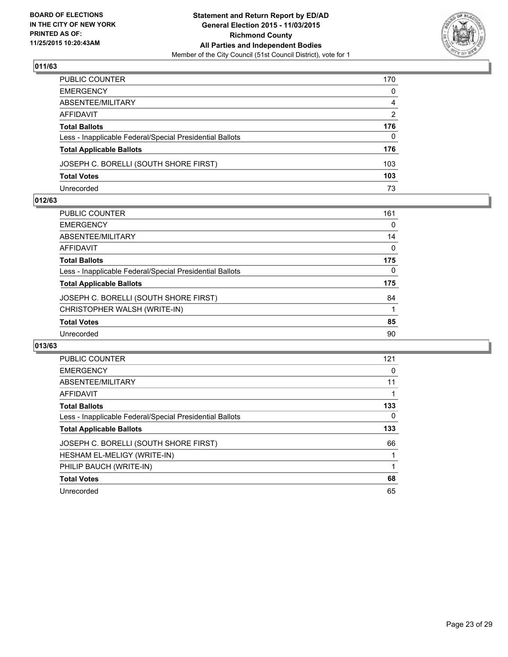

| PUBLIC COUNTER                                           | 170          |
|----------------------------------------------------------|--------------|
| EMERGENCY                                                | $\mathbf{0}$ |
| ABSENTEE/MILITARY                                        | 4            |
| AFFIDAVIT                                                | 2            |
| Total Ballots                                            | 176          |
| Less - Inapplicable Federal/Special Presidential Ballots | $\mathbf{0}$ |
| <b>Total Applicable Ballots</b>                          | 176          |
| JOSEPH C. BORELLI (SOUTH SHORE FIRST)                    | 103          |
| <b>Total Votes</b>                                       | 103          |
| Unrecorded                                               | 73           |

#### **012/63**

| PUBLIC COUNTER                                           | 161 |
|----------------------------------------------------------|-----|
| EMERGENCY                                                | 0   |
| ABSENTEE/MILITARY                                        | 14  |
| AFFIDAVIT                                                | 0   |
| Total Ballots                                            | 175 |
| Less - Inapplicable Federal/Special Presidential Ballots | 0   |
| <b>Total Applicable Ballots</b>                          | 175 |
| JOSEPH C. BORELLI (SOUTH SHORE FIRST)                    | 84  |
| CHRISTOPHER WALSH (WRITE-IN)                             |     |
| <b>Total Votes</b>                                       | 85  |
| Unrecorded                                               | 90  |
|                                                          |     |

| <b>PUBLIC COUNTER</b>                                    | 121 |
|----------------------------------------------------------|-----|
| <b>EMERGENCY</b>                                         | 0   |
| ABSENTEE/MILITARY                                        | 11  |
| AFFIDAVIT                                                |     |
| <b>Total Ballots</b>                                     | 133 |
| Less - Inapplicable Federal/Special Presidential Ballots | 0   |
| <b>Total Applicable Ballots</b>                          | 133 |
| JOSEPH C. BORELLI (SOUTH SHORE FIRST)                    | 66  |
| HESHAM EL-MELIGY (WRITE-IN)                              |     |
| PHILIP BAUCH (WRITE-IN)                                  |     |
| <b>Total Votes</b>                                       | 68  |
| Unrecorded                                               | 65  |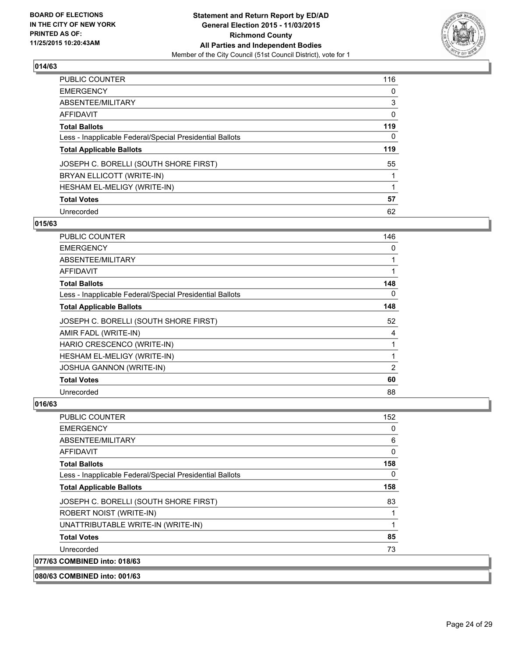

| <b>PUBLIC COUNTER</b>                                    | 116 |
|----------------------------------------------------------|-----|
| <b>EMERGENCY</b>                                         | 0   |
| <b>ABSENTEE/MILITARY</b>                                 | 3   |
| <b>AFFIDAVIT</b>                                         | 0   |
| <b>Total Ballots</b>                                     | 119 |
| Less - Inapplicable Federal/Special Presidential Ballots | 0   |
| <b>Total Applicable Ballots</b>                          | 119 |
| JOSEPH C. BORELLI (SOUTH SHORE FIRST)                    | 55  |
| BRYAN ELLICOTT (WRITE-IN)                                |     |
| <b>HESHAM EL-MELIGY (WRITE-IN)</b>                       |     |
| <b>Total Votes</b>                                       | 57  |
| Unrecorded                                               | 62  |

#### **015/63**

| <b>PUBLIC COUNTER</b>                                    | 146 |
|----------------------------------------------------------|-----|
| <b>EMERGENCY</b>                                         | 0   |
| ABSENTEE/MILITARY                                        | 1   |
| AFFIDAVIT                                                | 1   |
| <b>Total Ballots</b>                                     | 148 |
| Less - Inapplicable Federal/Special Presidential Ballots | 0   |
| <b>Total Applicable Ballots</b>                          | 148 |
| JOSEPH C. BORELLI (SOUTH SHORE FIRST)                    | 52  |
| AMIR FADL (WRITE-IN)                                     | 4   |
| HARIO CRESCENCO (WRITE-IN)                               |     |
| HESHAM EL-MELIGY (WRITE-IN)                              | 1   |
| <b>JOSHUA GANNON (WRITE-IN)</b>                          | 2   |
| <b>Total Votes</b>                                       | 60  |
| Unrecorded                                               | 88  |

## **016/63**

| <b>PUBLIC COUNTER</b>                                    | 152 |
|----------------------------------------------------------|-----|
| <b>EMERGENCY</b>                                         | 0   |
| ABSENTEE/MILITARY                                        | 6   |
| AFFIDAVIT                                                | 0   |
| <b>Total Ballots</b>                                     | 158 |
| Less - Inapplicable Federal/Special Presidential Ballots | 0   |
| <b>Total Applicable Ballots</b>                          | 158 |
| JOSEPH C. BORELLI (SOUTH SHORE FIRST)                    | 83  |
| ROBERT NOIST (WRITE-IN)                                  |     |
| UNATTRIBUTABLE WRITE-IN (WRITE-IN)                       |     |
| <b>Total Votes</b>                                       | 85  |
| Unrecorded                                               | 73  |
| 077/63 COMBINED into: 018/63                             |     |

**080/63 COMBINED into: 001/63**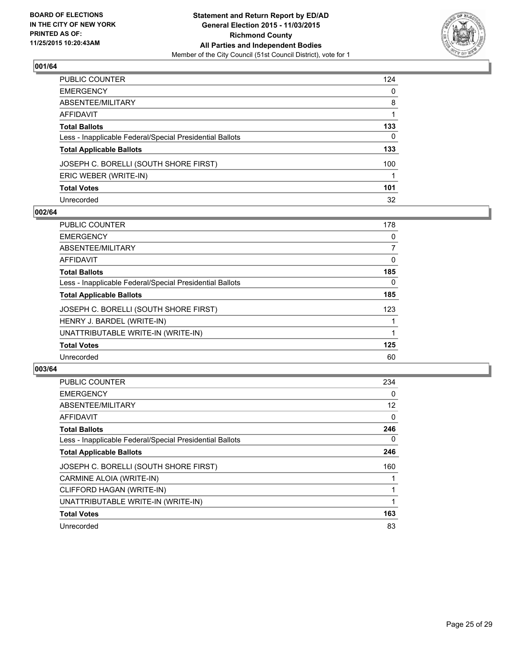

| PUBLIC COUNTER                                           | 124 |
|----------------------------------------------------------|-----|
| EMERGENCY                                                | 0   |
| ABSENTEE/MILITARY                                        | 8   |
| AFFIDAVIT                                                |     |
| <b>Total Ballots</b>                                     | 133 |
| Less - Inapplicable Federal/Special Presidential Ballots | 0   |
| <b>Total Applicable Ballots</b>                          | 133 |
| JOSEPH C. BORELLI (SOUTH SHORE FIRST)                    | 100 |
| ERIC WEBER (WRITE-IN)                                    |     |
| <b>Total Votes</b>                                       | 101 |
| Unrecorded                                               | 32  |

#### **002/64**

| <b>PUBLIC COUNTER</b>                                    | 178 |
|----------------------------------------------------------|-----|
| <b>EMERGENCY</b>                                         | 0   |
| ABSENTEE/MILITARY                                        | 7   |
| AFFIDAVIT                                                | 0   |
| <b>Total Ballots</b>                                     | 185 |
| Less - Inapplicable Federal/Special Presidential Ballots | 0   |
| <b>Total Applicable Ballots</b>                          | 185 |
| JOSEPH C. BORELLI (SOUTH SHORE FIRST)                    | 123 |
| HENRY J. BARDEL (WRITE-IN)                               |     |
| UNATTRIBUTABLE WRITE-IN (WRITE-IN)                       |     |
| <b>Total Votes</b>                                       | 125 |
| Unrecorded                                               | 60  |
|                                                          |     |

| PUBLIC COUNTER                                           | 234 |
|----------------------------------------------------------|-----|
| <b>EMERGENCY</b>                                         | 0   |
| ABSENTEE/MILITARY                                        | 12  |
| AFFIDAVIT                                                | 0   |
| <b>Total Ballots</b>                                     | 246 |
| Less - Inapplicable Federal/Special Presidential Ballots | 0   |
| <b>Total Applicable Ballots</b>                          | 246 |
| JOSEPH C. BORELLI (SOUTH SHORE FIRST)                    | 160 |
| CARMINE ALOIA (WRITE-IN)                                 |     |
| CLIFFORD HAGAN (WRITE-IN)                                |     |
| UNATTRIBUTABLE WRITE-IN (WRITE-IN)                       |     |
| <b>Total Votes</b>                                       | 163 |
| Unrecorded                                               | 83  |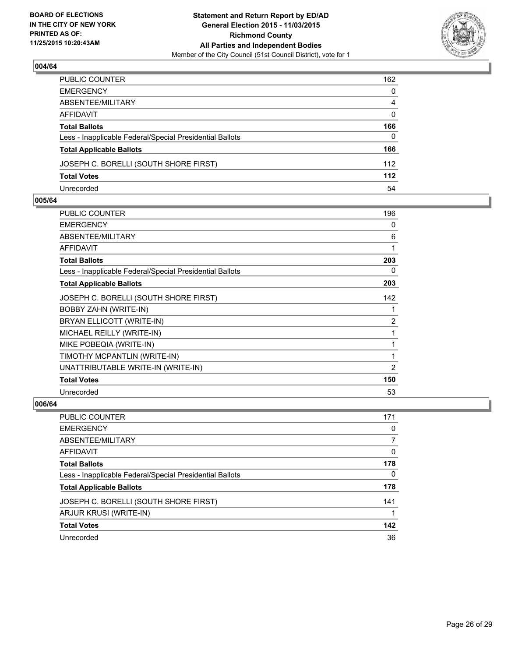

| PUBLIC COUNTER                                           | 162          |
|----------------------------------------------------------|--------------|
| EMERGENCY                                                | $\mathbf{0}$ |
| ABSENTEE/MILITARY                                        | 4            |
| AFFIDAVIT                                                | $\Omega$     |
| Total Ballots                                            | 166          |
| Less - Inapplicable Federal/Special Presidential Ballots | $\mathbf{0}$ |
| <b>Total Applicable Ballots</b>                          | 166          |
| JOSEPH C. BORELLI (SOUTH SHORE FIRST)                    | 112          |
| <b>Total Votes</b>                                       | 112          |
| Unrecorded                                               | 54           |

#### **005/64**

| PUBLIC COUNTER                                           | 196            |
|----------------------------------------------------------|----------------|
| <b>EMERGENCY</b>                                         | 0              |
| <b>ABSENTEE/MILITARY</b>                                 | 6              |
| <b>AFFIDAVIT</b>                                         | 1              |
| <b>Total Ballots</b>                                     | 203            |
| Less - Inapplicable Federal/Special Presidential Ballots | 0              |
| <b>Total Applicable Ballots</b>                          | 203            |
| JOSEPH C. BORELLI (SOUTH SHORE FIRST)                    | 142            |
| <b>BOBBY ZAHN (WRITE-IN)</b>                             | 1              |
| BRYAN ELLICOTT (WRITE-IN)                                | 2              |
| MICHAEL REILLY (WRITE-IN)                                | 1              |
| MIKE POBEQIA (WRITE-IN)                                  | 1              |
| TIMOTHY MCPANTLIN (WRITE-IN)                             | 1              |
| UNATTRIBUTABLE WRITE-IN (WRITE-IN)                       | $\overline{2}$ |
| <b>Total Votes</b>                                       | 150            |
| Unrecorded                                               | 53             |
|                                                          |                |

| PUBLIC COUNTER                                           | 171 |
|----------------------------------------------------------|-----|
| <b>EMERGENCY</b>                                         | 0   |
| ABSENTEE/MILITARY                                        |     |
| AFFIDAVIT                                                | 0   |
| <b>Total Ballots</b>                                     | 178 |
| Less - Inapplicable Federal/Special Presidential Ballots | 0   |
| <b>Total Applicable Ballots</b>                          | 178 |
| JOSEPH C. BORELLI (SOUTH SHORE FIRST)                    | 141 |
| ARJUR KRUSI (WRITE-IN)                                   |     |
| <b>Total Votes</b>                                       | 142 |
| Unrecorded                                               | 36  |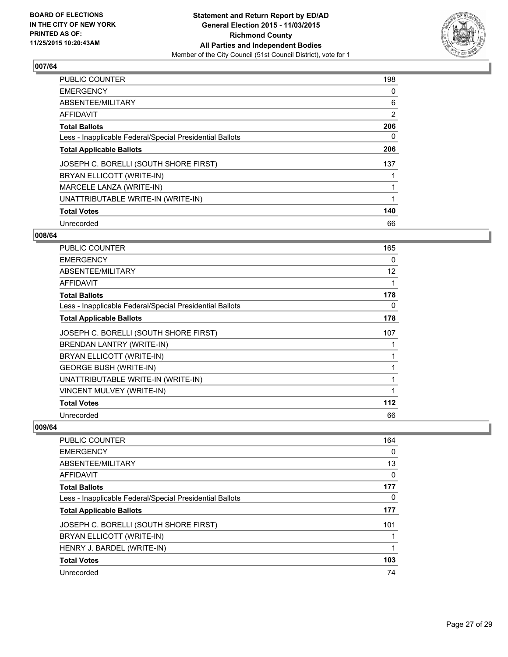

| <b>PUBLIC COUNTER</b>                                    | 198 |
|----------------------------------------------------------|-----|
| <b>EMERGENCY</b>                                         | 0   |
| ABSENTEE/MILITARY                                        | 6   |
| <b>AFFIDAVIT</b>                                         | 2   |
| <b>Total Ballots</b>                                     | 206 |
| Less - Inapplicable Federal/Special Presidential Ballots | 0   |
| <b>Total Applicable Ballots</b>                          | 206 |
| JOSEPH C. BORELLI (SOUTH SHORE FIRST)                    | 137 |
| BRYAN ELLICOTT (WRITE-IN)                                |     |
| MARCELE LANZA (WRITE-IN)                                 |     |
| UNATTRIBUTABLE WRITE-IN (WRITE-IN)                       | 1   |
| <b>Total Votes</b>                                       | 140 |
| Unrecorded                                               | 66  |

#### **008/64**

| <b>PUBLIC COUNTER</b>                                    | 165 |
|----------------------------------------------------------|-----|
| <b>EMERGENCY</b>                                         | 0   |
| ABSENTEE/MILITARY                                        | 12  |
| AFFIDAVIT                                                | 1   |
| <b>Total Ballots</b>                                     | 178 |
| Less - Inapplicable Federal/Special Presidential Ballots | 0   |
| <b>Total Applicable Ballots</b>                          | 178 |
| JOSEPH C. BORELLI (SOUTH SHORE FIRST)                    | 107 |
| BRENDAN LANTRY (WRITE-IN)                                |     |
| BRYAN ELLICOTT (WRITE-IN)                                | 1   |
| <b>GEORGE BUSH (WRITE-IN)</b>                            | 1   |
| UNATTRIBUTABLE WRITE-IN (WRITE-IN)                       | 1   |
| VINCENT MULVEY (WRITE-IN)                                | 1   |
| <b>Total Votes</b>                                       | 112 |
| Unrecorded                                               | 66  |

| <b>PUBLIC COUNTER</b>                                    | 164 |
|----------------------------------------------------------|-----|
| <b>EMERGENCY</b>                                         | 0   |
| ABSENTEE/MILITARY                                        | 13  |
| AFFIDAVIT                                                | 0   |
| <b>Total Ballots</b>                                     | 177 |
| Less - Inapplicable Federal/Special Presidential Ballots | 0   |
| <b>Total Applicable Ballots</b>                          | 177 |
| JOSEPH C. BORELLI (SOUTH SHORE FIRST)                    | 101 |
| BRYAN ELLICOTT (WRITE-IN)                                |     |
| HENRY J. BARDEL (WRITE-IN)                               |     |
| <b>Total Votes</b>                                       | 103 |
| Unrecorded                                               | 74  |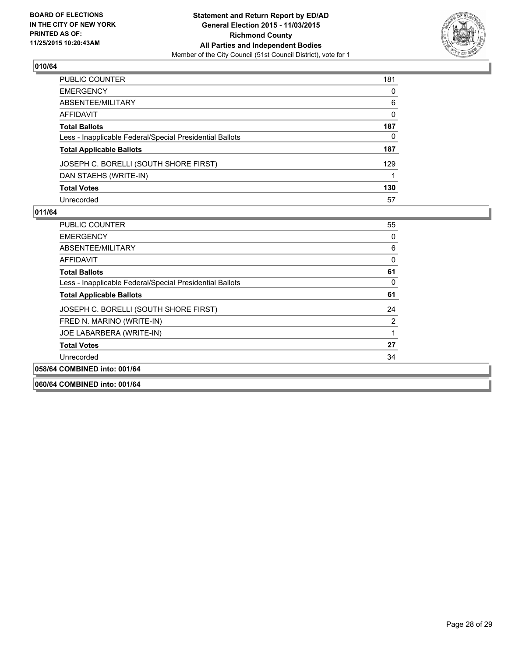

| PUBLIC COUNTER                                           | 181 |
|----------------------------------------------------------|-----|
| EMERGENCY                                                | 0   |
| ABSENTEE/MILITARY                                        | 6   |
| AFFIDAVIT                                                | 0   |
| Total Ballots                                            | 187 |
| Less - Inapplicable Federal/Special Presidential Ballots | 0   |
| <b>Total Applicable Ballots</b>                          | 187 |
| JOSEPH C. BORELLI (SOUTH SHORE FIRST)                    | 129 |
| DAN STAEHS (WRITE-IN)                                    |     |
| <b>Total Votes</b>                                       | 130 |
| Unrecorded                                               | 57  |

## **011/64**

| <b>PUBLIC COUNTER</b>                                    | 55 |
|----------------------------------------------------------|----|
| <b>EMERGENCY</b>                                         | 0  |
| ABSENTEE/MILITARY                                        | 6  |
| <b>AFFIDAVIT</b>                                         | 0  |
| <b>Total Ballots</b>                                     | 61 |
| Less - Inapplicable Federal/Special Presidential Ballots | 0  |
| <b>Total Applicable Ballots</b>                          | 61 |
| JOSEPH C. BORELLI (SOUTH SHORE FIRST)                    | 24 |
| FRED N. MARINO (WRITE-IN)                                | 2  |
| JOE LABARBERA (WRITE-IN)                                 |    |
| <b>Total Votes</b>                                       | 27 |
| Unrecorded                                               | 34 |
| 058/64 COMBINED into: 001/64                             |    |
|                                                          |    |

**060/64 COMBINED into: 001/64**